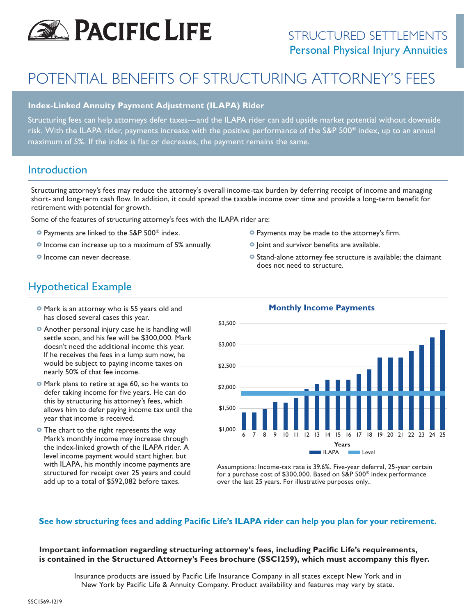

# POTENTIAL BENEFITS OF STRUCTURING ATTORNEY'S FEES

#### **Index-Linked Annuity Payment Adjustment (ILAPA) Rider**

Structuring fees can help attorneys defer taxes—and the ILAPA rider can add upside market potential without downside risk. With the ILAPA rider, payments increase with the positive performance of the S&P 500® index, up to an annual maximum of 5%. If the index is flat or decreases, the payment remains the same.

### Introduction

Structuring attorney's fees may reduce the attorney's overall income-tax burden by deferring receipt of income and managing short- and long-term cash flow. In addition, it could spread the taxable income over time and provide a long-term benefit for retirement with potential for growth.

Some of the features of structuring attorney's fees with the ILAPA rider are:

- **o** Payments are linked to the S&P 500® index.
- **o** Income can increase up to a maximum of 5% annually.
- **o** Income can never decrease.
- **o** Payments may be made to the attorney's firm.
- **o** Joint and survivor benefits are available.
- **o** Stand-alone attorney fee structure is available; the claimant does not need to structure.

## Hypothetical Example

- **o** Mark is an attorney who is 55 years old and has closed several cases this year.
- **o** Another personal injury case he is handling will settle soon, and his fee will be \$300,000. Mark doesn't need the additional income this year. If he receives the fees in a lump sum now, he would be subject to paying income taxes on nearly 50% of that fee income.
- **o** Mark plans to retire at age 60, so he wants to defer taking income for five years. He can do this by structuring his attorney's fees, which allows him to defer paying income tax until the year that income is received.
- **o** The chart to the right represents the way Mark's monthly income may increase through the index-linked growth of the ILAPA rider. A level income payment would start higher, but with ILAPA, his monthly income payments are structured for receipt over 25 years and could add up to a total of \$592,082 before taxes.



#### **Monthly Income Payments**

Assumptions: Income-tax rate is 39.6%. Five-year deferral, 25-year certain for a purchase cost of \$300,000. Based on S&P 500® index performance over the last 25 years. For illustrative purposes only..

#### **See how structuring fees and adding Pacific Life's ILAPA rider can help you plan for your retirement.**

**Important information regarding structuring attorney's fees, including Pacific Life's requirements, is contained in the Structured Attorney's Fees brochure (SSC1259), which must accompany this flyer.**

Insurance products are issued by Pacific Life Insurance Company in all states except New York and in New York by Pacific Life & Annuity Company. Product availability and features may vary by state.